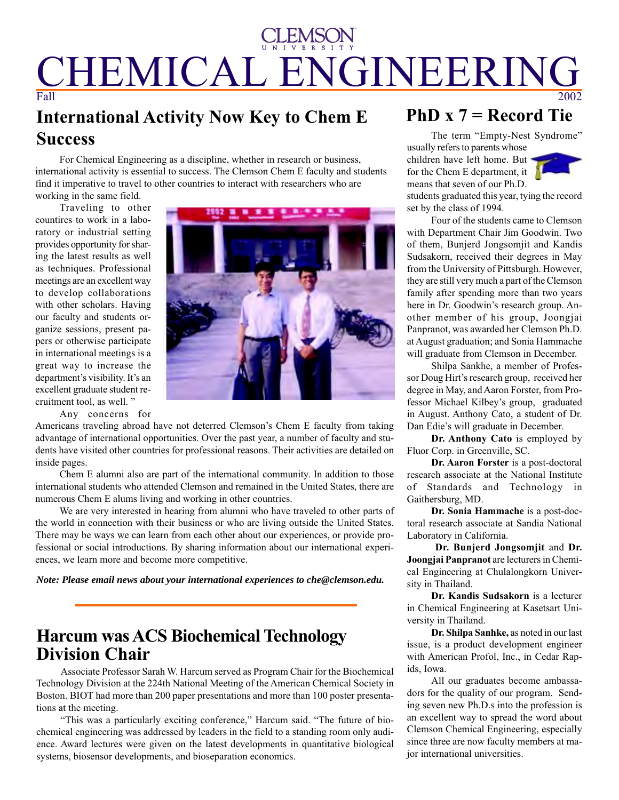# ® Fall 2002 CHEMICAL ENGINEERIN

## **International Activity Now Key to Chem E Success**

For Chemical Engineering as a discipline, whether in research or business, international activity is essential to success. The Clemson Chem E faculty and students find it imperative to travel to other countries to interact with researchers who are working in the same field.

Traveling to other countires to work in a laboratory or industrial setting provides opportunity for sharing the latest results as well as techniques. Professional meetings are an excellent way to develop collaborations with other scholars. Having our faculty and students organize sessions, present papers or otherwise participate in international meetings is a great way to increase the department's visibility. It's an excellent graduate student recruitment tool, as well. "



Any concerns for

Americans traveling abroad have not deterred Clemson's Chem E faculty from taking advantage of international opportunities. Over the past year, a number of faculty and students have visited other countries for professional reasons. Their activities are detailed on inside pages.

Chem E alumni also are part of the international community. In addition to those international students who attended Clemson and remained in the United States, there are numerous Chem E alums living and working in other countries.

We are very interested in hearing from alumni who have traveled to other parts of the world in connection with their business or who are living outside the United States. There may be ways we can learn from each other about our experiences, or provide professional or social introductions. By sharing information about our international experiences, we learn more and become more competitive.

*Note: Please email news about your international experiences to che@clemson.edu.*

#### **Harcum was ACS Biochemical Technology Division Chair**

Associate Professor Sarah W. Harcum served as Program Chair for the Biochemical Technology Division at the 224th National Meeting of the American Chemical Society in Boston. BIOT had more than 200 paper presentations and more than 100 poster presentations at the meeting.

"This was a particularly exciting conference," Harcum said. "The future of biochemical engineering was addressed by leaders in the field to a standing room only audience. Award lectures were given on the latest developments in quantitative biological systems, biosensor developments, and bioseparation economics.

#### **PhD x 7 = Record Tie**

The term "Empty-Nest Syndrome" usually refers to parents whose children have left home. But for the Chem E department, it means that seven of our Ph.D. students graduated this year, tying the record set by the class of 1994.

Four of the students came to Clemson with Department Chair Jim Goodwin. Two of them, Bunjerd Jongsomjit and Kandis Sudsakorn, received their degrees in May from the University of Pittsburgh. However, they are still very much a part of the Clemson family after spending more than two years here in Dr. Goodwin's research group. Another member of his group, Joongjai Panpranot, was awarded her Clemson Ph.D. at August graduation; and Sonia Hammache will graduate from Clemson in December.

Shilpa Sankhe, a member of Professor Doug Hirt's research group, received her degree in May, and Aaron Forster, from Professor Michael Kilbey's group, graduated in August. Anthony Cato, a student of Dr. Dan Edie's will graduate in December.

**Dr. Anthony Cato** is employed by Fluor Corp. in Greenville, SC.

**Dr. Aaron Forster** is a post-doctoral research associate at the National Institute of Standards and Technology in Gaithersburg, MD.

**Dr. Sonia Hammache** is a post-doctoral research associate at Sandia National Laboratory in California.

**Dr. Bunjerd Jongsomjit** and **Dr. Joongjai Panpranot** are lecturers in Chemical Engineering at Chulalongkorn University in Thailand.

**Dr. Kandis Sudsakorn** is a lecturer in Chemical Engineering at Kasetsart University in Thailand.

**Dr. Shilpa Sanhke,** as noted in our last issue, is a product development engineer with American Profol, Inc., in Cedar Rapids, Iowa.

All our graduates become ambassadors for the quality of our program. Sending seven new Ph.D.s into the profession is an excellent way to spread the word about Clemson Chemical Engineering, especially since three are now faculty members at major international universities.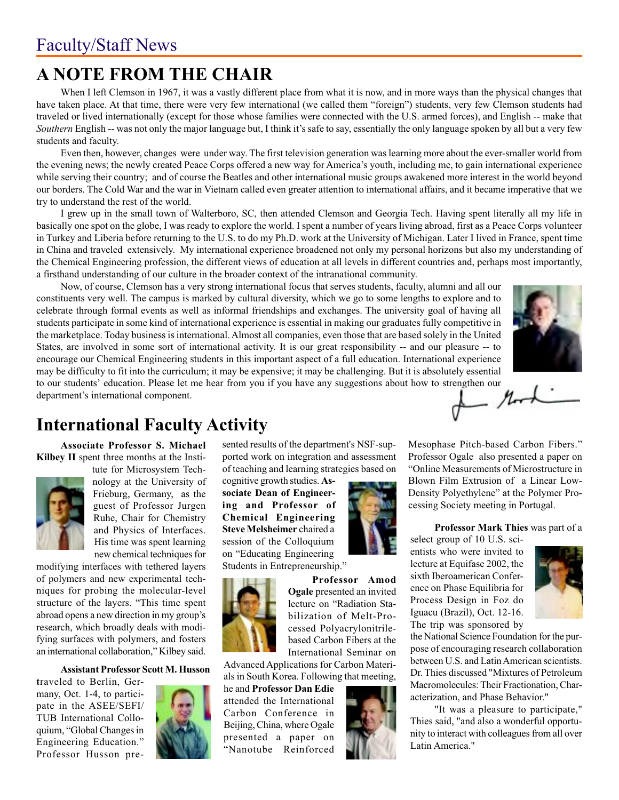### Faculty/Staff News

#### **A NOTE FROM THE CHAIR**

When I left Clemson in 1967, it was a vastly different place from what it is now, and in more ways than the physical changes that have taken place. At that time, there were very few international (we called them "foreign") students, very few Clemson students had traveled or lived internationally (except for those whose families were connected with the U.S. armed forces), and English -- make that *Southern* English -- was not only the major language but, I think it's safe to say, essentially the only language spoken by all but a very few students and faculty.

Even then, however, changes were under way. The first television generation was learning more about the ever-smaller world from the evening news; the newly created Peace Corps offered a new way for America's youth, including me, to gain international experience while serving their country; and of course the Beatles and other international music groups awakened more interest in the world beyond our borders. The Cold War and the war in Vietnam called even greater attention to international affairs, and it became imperative that we try to understand the rest of the world.

I grew up in the small town of Walterboro, SC, then attended Clemson and Georgia Tech. Having spent literally all my life in basically one spot on the globe, I was ready to explore the world. I spent a number of years living abroad, first as a Peace Corps volunteer in Turkey and Liberia before returning to the U.S. to do my Ph.D. work at the University of Michigan. Later I lived in France, spent time in China and traveled extensively. My international experience broadened not only my personal horizons but also my understanding of the Chemical Engineering profession, the different views of education at all levels in different countries and, perhaps most importantly, a firsthand understanding of our culture in the broader context of the intranational community.

Now, of course, Clemson has a very strong international focus that serves students, faculty, alumni and all our constituents very well. The campus is marked by cultural diversity, which we go to some lengths to explore and to celebrate through formal events as well as informal friendships and exchanges. The university goal of having all students participate in some kind of international experience is essential in making our graduates fully competitive in the marketplace. Today business is international. Almost all companies, even those that are based solely in the United States, are involved in some sort of international activity. It is our great responsibility -- and our pleasure -- to encourage our Chemical Engineering students in this important aspect of a full education. International experience may be difficulty to fit into the curriculum; it may be expensive; it may be challenging. But it is absolutely essential



to our students' education. Please let me hear from you if you have any suggestions about how to strengthen our department's international component.

## **International Faculty Activity**

**Associate Professor S. Michael Kilbey II** spent three months at the Insti-



tute for Microsystem Technology at the University of Frieburg, Germany, as the guest of Professor Jurgen Ruhe, Chair for Chemistry and Physics of Interfaces. His time was spent learning new chemical techniques for

modifying interfaces with tethered layers of polymers and new experimental techniques for probing the molecular-level structure of the layers. "This time spent abroad opens a new direction in my group's research, which broadly deals with modifying surfaces with polymers, and fosters an international collaboration," Kilbey said.

#### **Assistant Professor Scott M. Husson**

**t**raveled to Berlin, Germany, Oct. 1-4, to participate in the ASEE/SEFI/ TUB International Colloquium, "Global Changes in Engineering Education." Professor Husson pre-



sented results of the department's NSF-supported work on integration and assessment of teaching and learning strategies based on

cognitive growth studies. **Associate Dean of Engineering and Professor of Chemical Engineering Steve Melsheimer** chaired a session of the Colloquium on "Educating Engineering Students in Entrepreneurship."



**Professor Amod Ogale** presented an invited lecture on "Radiation Stabilization of Melt-Processed Polyacrylonitrilebased Carbon Fibers at the International Seminar on

Advanced Applications for Carbon Materials in South Korea. Following that meeting,

he and **Professor Dan Edie** attended the International Carbon Conference in Beijing, China, where Ogale presented a paper on "Nanotube Reinforced



select group of 10 U.S. scientists who were invited to lecture at Equifase 2002, the sixth Iberoamerican Conference on Phase Equilibria for Process Design in Foz do Iguacu (Brazil), Oct. 12-16.



Mesophase Pitch-based Carbon Fibers." Professor Ogale also presented a paper on "Online Measurements of Microstructure in Blown Film Extrusion of a Linear Low-Density Polyethylene" at the Polymer Pro-

"It was a pleasure to participate," Thies said, "and also a wonderful opportunity to interact with colleagues from all over Latin America."

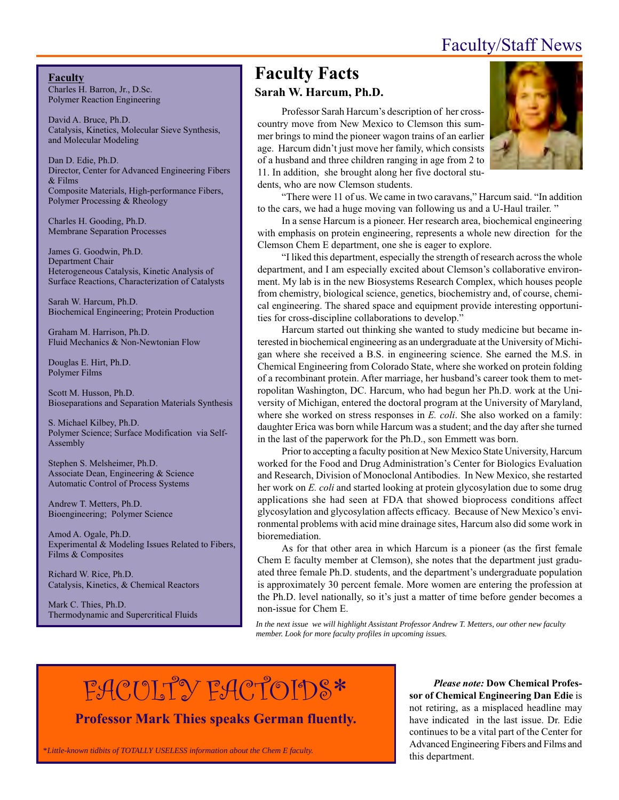### Faculty/Staff News

#### **Faculty**

Charles H. Barron, Jr., D.Sc. Polymer Reaction Engineering

David A. Bruce, Ph.D. Catalysis, Kinetics, Molecular Sieve Synthesis, and Molecular Modeling

Dan D. Edie, Ph.D. Director, Center for Advanced Engineering Fibers & Films Composite Materials, High-performance Fibers, Polymer Processing & Rheology

Charles H. Gooding, Ph.D. Membrane Separation Processes

James G. Goodwin, Ph.D. Department Chair Heterogeneous Catalysis, Kinetic Analysis of Surface Reactions, Characterization of Catalysts

Sarah W. Harcum, Ph.D. Biochemical Engineering; Protein Production

Graham M. Harrison, Ph.D. Fluid Mechanics & Non-Newtonian Flow

Douglas E. Hirt, Ph.D. Polymer Films

Scott M. Husson, Ph.D. Bioseparations and Separation Materials Synthesis

S. Michael Kilbey, Ph.D. Polymer Science; Surface Modification via Self-Assembly

Stephen S. Melsheimer, Ph.D. Associate Dean, Engineering & Science Automatic Control of Process Systems

Andrew T. Metters, Ph.D. Bioengineering; Polymer Science

Amod A. Ogale, Ph.D. Experimental & Modeling Issues Related to Fibers, Films & Composites

Richard W. Rice, Ph.D. Catalysis, Kinetics, & Chemical Reactors

Mark C. Thies, Ph.D. Thermodynamic and Supercritical Fluids

#### **Faculty Facts Sarah W. Harcum, Ph.D.**



"There were 11 of us. We came in two caravans," Harcum said. "In addition to the cars, we had a huge moving van following us and a U-Haul trailer. "

In a sense Harcum is a pioneer. Her research area, biochemical engineering with emphasis on protein engineering, represents a whole new direction for the Clemson Chem E department, one she is eager to explore.

"I liked this department, especially the strength of research across the whole department, and I am especially excited about Clemson's collaborative environment. My lab is in the new Biosystems Research Complex, which houses people from chemistry, biological science, genetics, biochemistry and, of course, chemical engineering. The shared space and equipment provide interesting opportunities for cross-discipline collaborations to develop."

Harcum started out thinking she wanted to study medicine but became interested in biochemical engineering as an undergraduate at the University of Michigan where she received a B.S. in engineering science. She earned the M.S. in Chemical Engineering from Colorado State, where she worked on protein folding of a recombinant protein. After marriage, her husband's career took them to metropolitan Washington, DC. Harcum, who had begun her Ph.D. work at the University of Michigan, entered the doctoral program at the University of Maryland, where she worked on stress responses in *E. coli*. She also worked on a family: daughter Erica was born while Harcum was a student; and the day after she turned in the last of the paperwork for the Ph.D., son Emmett was born.

Prior to accepting a faculty position at New Mexico State University, Harcum worked for the Food and Drug Administration's Center for Biologics Evaluation and Research, Division of Monoclonal Antibodies. In New Mexico, she restarted her work on *E. coli* and started looking at protein glycosylation due to some drug applications she had seen at FDA that showed bioprocess conditions affect glycosylation and glycosylation affects efficacy. Because of New Mexico's environmental problems with acid mine drainage sites, Harcum also did some work in bioremediation.

As for that other area in which Harcum is a pioneer (as the first female Chem E faculty member at Clemson), she notes that the department just graduated three female Ph.D. students, and the department's undergraduate population is approximately 30 percent female. More women are entering the profession at the Ph.D. level nationally, so it's just a matter of time before gender becomes a non-issue for Chem E.

*In the next issue we will highlight Assistant Professor Andrew T. Metters, our other new faculty member. Look for more faculty profiles in upcoming issues.*

# FACULTY FACTOIDS\*

**Professor Mark Thies speaks German fluently.**

\**Little-known tidbits of TOTALLY USELESS information about the Chem E faculty.*

*Please note:* **Dow Chemical Professor of Chemical Engineering Dan Edie** is not retiring, as a misplaced headline may have indicated in the last issue. Dr. Edie continues to be a vital part of the Center for Advanced Engineering Fibers and Films and this department.

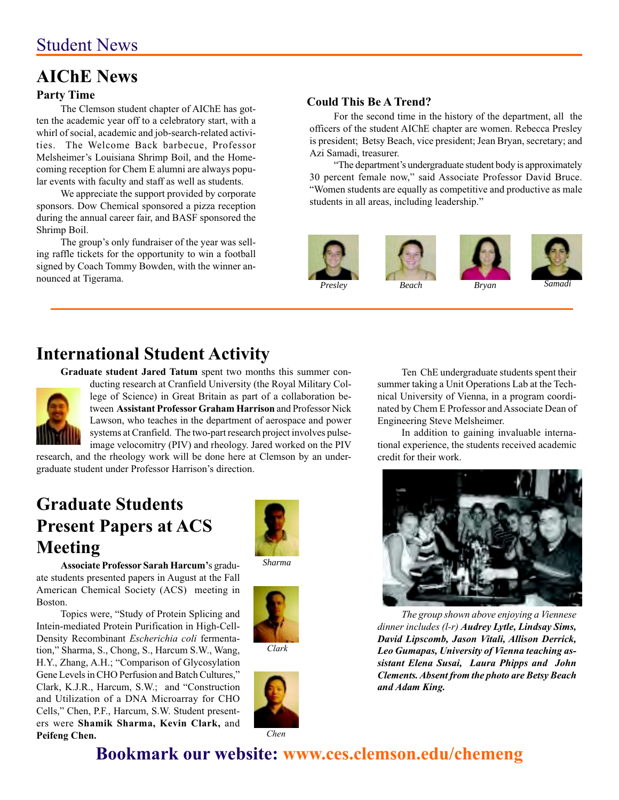#### Student News

#### **AIChE News**

#### **Party Time**

The Clemson student chapter of AIChE has gotten the academic year off to a celebratory start, with a whirl of social, academic and job-search-related activities. The Welcome Back barbecue, Professor Melsheimer's Louisiana Shrimp Boil, and the Homecoming reception for Chem E alumni are always popular events with faculty and staff as well as students.

We appreciate the support provided by corporate sponsors. Dow Chemical sponsored a pizza reception during the annual career fair, and BASF sponsored the Shrimp Boil.

The group's only fundraiser of the year was selling raffle tickets for the opportunity to win a football signed by Coach Tommy Bowden, with the winner announced at Tigerama.

#### **Could This Be A Trend?**

For the second time in the history of the department, all the officers of the student AIChE chapter are women. Rebecca Presley is president; Betsy Beach, vice president; Jean Bryan, secretary; and Azi Samadi, treasurer.

"The department's undergraduate student body is approximately 30 percent female now," said Associate Professor David Bruce. "Women students are equally as competitive and productive as male students in all areas, including leadership."









#### **International Student Activity**

**Graduate student Jared Tatum** spent two months this summer con-



ducting research at Cranfield University (the Royal Military College of Science) in Great Britain as part of a collaboration between **Assistant Professor Graham Harrison** and Professor Nick Lawson, who teaches in the department of aerospace and power systems at Cranfield. The two-part research project involves pulse-

image velocomitry (PIV) and rheology. Jared worked on the PIV research, and the rheology work will be done here at Clemson by an undergraduate student under Professor Harrison's direction.

**Graduate Students Present Papers at ACS Meeting**

**Associate Professor Sarah Harcum'**s graduate students presented papers in August at the Fall American Chemical Society (ACS) meeting in Boston.

Topics were, "Study of Protein Splicing and Intein-mediated Protein Purification in High-Cell-Density Recombinant *Escherichia coli* fermentation," Sharma, S., Chong, S., Harcum S.W., Wang, H.Y., Zhang, A.H.; "Comparison of Glycosylation Gene Levels in CHO Perfusion and Batch Cultures," Clark, K.J.R., Harcum, S.W.; and "Construction and Utilization of a DNA Microarray for CHO Cells," Chen, P.F., Harcum, S.W. Student presenters were **Shamik Sharma, Kevin Clark,** and **Peifeng Chen.**



*Sharma*



*Clark*



Ten ChE undergraduate students spent their summer taking a Unit Operations Lab at the Technical University of Vienna, in a program coordinated by Chem E Professor and Associate Dean of Engineering Steve Melsheimer.

In addition to gaining invaluable international experience, the students received academic credit for their work.



*The group shown above enjoying a Viennese dinner includes (l-r) Audrey Lytle, Lindsay Sims, David Lipscomb, Jason Vitali, Allison Derrick, Leo Gumapas, University of Vienna teaching assistant Elena Susai, Laura Phipps and John Clements. Absent from the photo are Betsy Beach and Adam King.*

### **Bookmark our website: www.ces.clemson.edu/chemeng**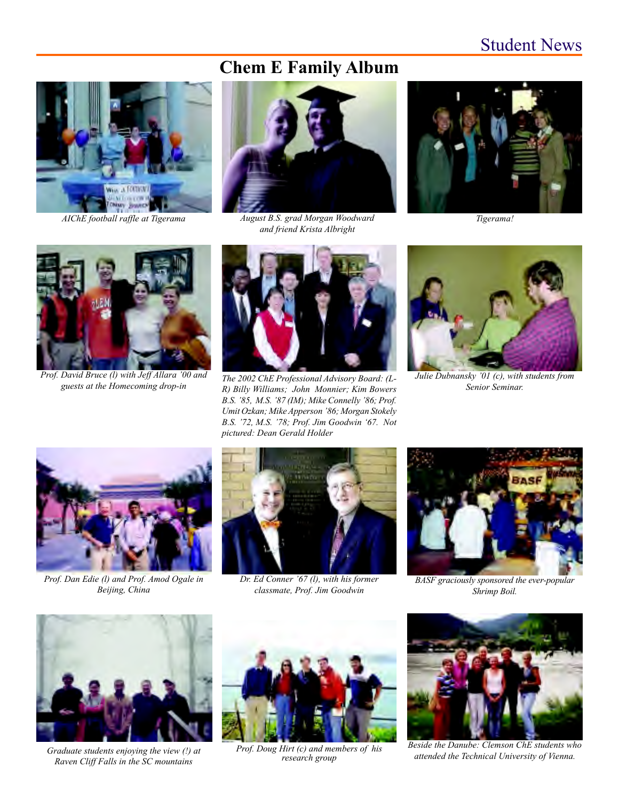### Student News

### **Chem E Family Album**



*AIChE football raffle at Tigerama*



*August B.S. grad Morgan Woodward Tigerama! and friend Krista Albright*





*Prof. David Bruce (l) with Jeff Allara '00 and guests at the Homecoming drop-in*



*The 2002 ChE Professional Advisory Board: (L-R) Billy Williams; John Monnier; Kim Bowers B.S. '85, M.S. '87 (IM); Mike Connelly '86; Prof. Umit Ozkan; Mike Apperson '86; Morgan Stokely B.S. '72, M.S. '78; Prof. Jim Goodwin '67. Not pictured: Dean Gerald Holder*



*Julie Dubnansky '01 (c), with students from Senior Seminar.*



*Prof. Dan Edie (l) and Prof. Amod Ogale in Beijing, China*



*Dr. Ed Conner '67 (l), with his former classmate, Prof. Jim Goodwin*



*BASF graciously sponsored the ever-popular Shrimp Boil.*



*Graduate students enjoying the view (!) at Raven Cliff Falls in the SC mountains*



*Prof. Doug Hirt (c) and members of his*



*Beside the Danube: Clemson ChE students who attended the Technical University of Vienna.*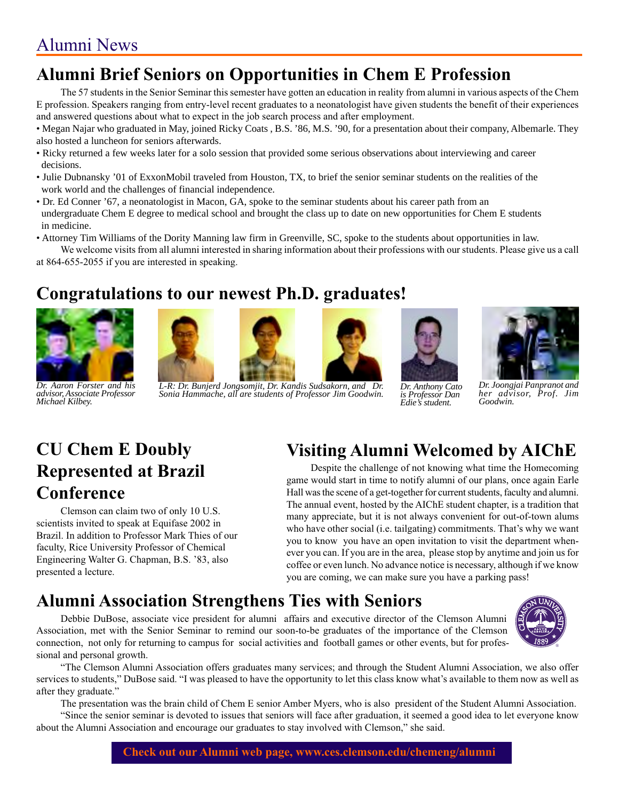# Alumni News

### **Alumni Brief Seniors on Opportunities in Chem E Profession**

The 57 students in the Senior Seminar this semester have gotten an education in reality from alumni in various aspects of the Chem E profession. Speakers ranging from entry-level recent graduates to a neonatologist have given students the benefit of their experiences and answered questions about what to expect in the job search process and after employment.

• Megan Najar who graduated in May, joined Ricky Coats , B.S. '86, M.S. '90, for a presentation about their company, Albemarle. They also hosted a luncheon for seniors afterwards.

- Ricky returned a few weeks later for a solo session that provided some serious observations about interviewing and career decisions.
- Julie Dubnansky '01 of ExxonMobil traveled from Houston, TX, to brief the senior seminar students on the realities of the work world and the challenges of financial independence.
- Dr. Ed Conner '67, a neonatologist in Macon, GA, spoke to the seminar students about his career path from an undergraduate Chem E degree to medical school and brought the class up to date on new opportunities for Chem E students in medicine.
- Attorney Tim Williams of the Dority Manning law firm in Greenville, SC, spoke to the students about opportunities in law.
- We welcome visits from all alumni interested in sharing information about their professions with our students. Please give us a call at 864-655-2055 if you are interested in speaking.

#### **Congratulations to our newest Ph.D. graduates!**



*Dr. Aaron Forster and his advisor, Associate Professor Michael Kilbey.*



*L-R: Dr. Bunjerd Jongsomjit, Dr. Kandis Sudsakorn, and Dr. Sonia Hammache, all are students of Professor Jim Goodwin. Dr. Anthony Cato*



*is Professor Dan Edie's student.*



*Dr. Joongjai Panpranot and her advisor, Prof. Jim Goodwin.*

# **CU Chem E Doubly Represented at Brazil Conference**

Clemson can claim two of only 10 U.S. scientists invited to speak at Equifase 2002 in Brazil. In addition to Professor Mark Thies of our faculty, Rice University Professor of Chemical Engineering Walter G. Chapman, B.S. '83, also presented a lecture.

# **Visiting Alumni Welcomed by AIChE**

Despite the challenge of not knowing what time the Homecoming game would start in time to notify alumni of our plans, once again Earle Hall was the scene of a get-together for current students, faculty and alumni. The annual event, hosted by the AIChE student chapter, is a tradition that many appreciate, but it is not always convenient for out-of-town alums who have other social (i.e. tailgating) commitments. That's why we want you to know you have an open invitation to visit the department whenever you can. If you are in the area, please stop by anytime and join us for coffee or even lunch. No advance notice is necessary, although if we know you are coming, we can make sure you have a parking pass!

### **Alumni Association Strengthens Ties with Seniors**

Debbie DuBose, associate vice president for alumni affairs and executive director of the Clemson Alumni Association, met with the Senior Seminar to remind our soon-to-be graduates of the importance of the Clemson connection, not only for returning to campus for social activities and football games or other events, but for professional and personal growth.



"The Clemson Alumni Association offers graduates many services; and through the Student Alumni Association, we also offer services to students," DuBose said. "I was pleased to have the opportunity to let this class know what's available to them now as well as after they graduate."

The presentation was the brain child of Chem E senior Amber Myers, who is also president of the Student Alumni Association. "Since the senior seminar is devoted to issues that seniors will face after graduation, it seemed a good idea to let everyone know about the Alumni Association and encourage our graduates to stay involved with Clemson," she said.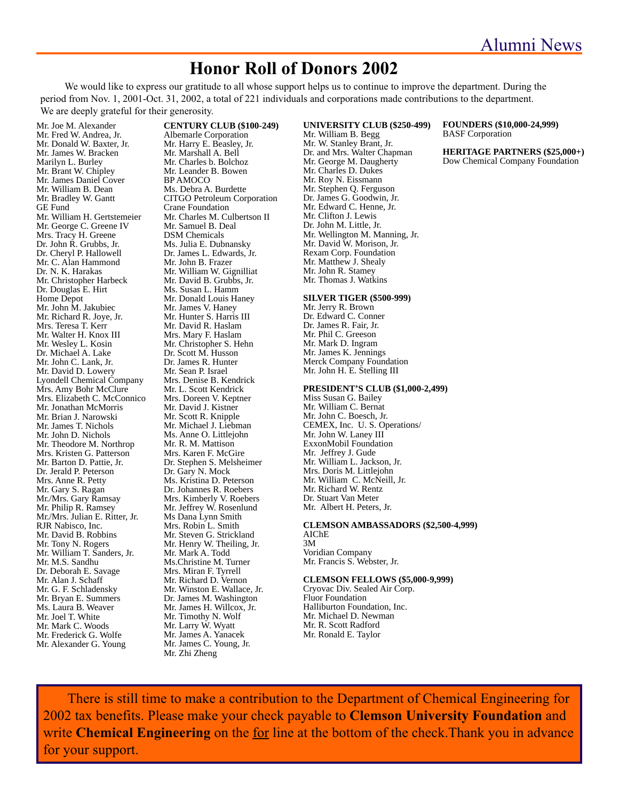#### **Honor Roll of Donors 2002**

We would like to express our gratitude to all whose support helps us to continue to improve the department. During the period from Nov. 1, 2001-Oct. 31, 2002, a total of 221 individuals and corporations made contributions to the department. We are deeply grateful for their generosity.

Mr. Joe M. Alexander Mr. Fred W. Andrea, Jr. Mr. Donald W. Baxter, Jr. Mr. James W. Bracken Marilyn L. Burley Mr. Brant W. Chipley Mr. James Daniel Cover Mr. William B. Dean Mr. Bradley W. Gantt GE Fund Mr. William H. Gertstemeier Mr. George C. Greene IV Mrs. Tracy H. Greene Dr. John R. Grubbs, Jr. Dr. Cheryl P. Hallowell Mr. C. Alan Hammond Dr. N. K. Harakas Mr. Christopher Harbeck Dr. Douglas E. Hirt Home Depot Mr. John M. Jakubiec Mr. Richard R. Joye, Jr. Mrs. Teresa T. Kerr Mr. Walter H. Knox III Mr. Wesley L. Kosin Dr. Michael A. Lake Mr. John C. Lank, Jr. Mr. David D. Lowery Lyondell Chemical Company Mrs. Amy Bohr McClure Mrs. Elizabeth C. McConnico Mr. Jonathan McMorris Mr. Brian J. Narowski Mr. James T. Nichols Mr. John D. Nichols Mr. Theodore M. Northrop Mrs. Kristen G. Patterson Mr. Barton D. Pattie, Jr. Dr. Jerald P. Peterson Mrs. Anne R. Petty Mr. Gary S. Ragan Mr./Mrs. Gary Ramsay Mr. Philip R. Ramsey Mr./Mrs. Julian E. Ritter, Jr. RJR Nabisco, Inc. Mr. David B. Robbins Mr. Tony N. Rogers Mr. William T. Sanders, Jr. Mr. M.S. Sandhu Dr. Deborah E. Savage Mr. Alan J. Schaff Mr. G. F. Schladensky Mr. Bryan E. Summers Ms. Laura B. Weaver Mr. Joel T. White Mr. Mark C. Woods Mr. Frederick G. Wolfe Mr. Alexander G. Young

**CENTURY CLUB (\$100-249)** Albemarle Corporation Mr. Harry E. Beasley, Jr. Mr. Marshall A. Bell Mr. Charles b. Bolchoz Mr. Leander B. Bowen BP AMOCO Ms. Debra A. Burdette CITGO Petroleum Corporation Crane Foundation Mr. Charles M. Culbertson II Mr. Samuel B. Deal DSM Chemicals Ms. Julia E. Dubnansky Dr. James L. Edwards, Jr. Mr. John B. Frazer Mr. William W. Gignilliat Mr. David B. Grubbs, Jr. Ms. Susan L. Hamm Mr. Donald Louis Haney Mr. James V. Haney Mr. Hunter S. Harris III Mr. David R. Haslam Mrs. Mary F. Haslam Mr. Christopher S. Hehn Dr. Scott M. Husson Dr. James R. Hunter Mr. Sean P. Israel Mrs. Denise B. Kendrick Mr. L. Scott Kendrick Mrs. Doreen V. Keptner Mr. David J. Kistner Mr. Scott R. Knipple Mr. Michael J. Liebman Ms. Anne O. Littlejohn Mr. R. M. Mattison Mrs. Karen F. McGire Dr. Stephen S. Melsheimer Dr. Gary N. Mock Ms. Kristina D. Peterson Dr. Johannes R. Roebers Mrs. Kimberly V. Roebers Mr. Jeffrey W. Rosenlund Ms Dana Lynn Smith Mrs. Robin L. Smith Mr. Steven G. Strickland Mr. Henry W. Theiling, Jr. Mr. Mark A. Todd Ms.Christine M. Turner Mrs. Miran F. Tyrrell Mr. Richard D. Vernon Mr. Winston E. Wallace, Jr. Dr. James M. Washington Mr. James H. Willcox, Jr. Mr. Timothy N. Wolf Mr. Larry W. Wyatt Mr. James A. Yanacek Mr. James C. Young, Jr.

Mr. Zhi Zheng

**UNIVERSITY CLUB (\$250-499)** Mr. William B. Begg Mr. W. Stanley Brant, Jr. Dr. and Mrs. Walter Chapman Mr. George M. Daugherty Mr. Charles D. Dukes Mr. Roy N. Eissmann Mr. Stephen Q. Ferguson Dr. James G. Goodwin, Jr. Mr. Edward C. Henne, Jr. Mr. Clifton J. Lewis Dr. John M. Little, Jr. Mr. Wellington M. Manning, Jr. Mr. David W. Morison, Jr. Rexam Corp. Foundation Mr. Matthew J. Shealy Mr. John R. Stamey Mr. Thomas J. Watkins

#### **SILVER TIGER (\$500-999)**

Mr. Jerry R. Brown Dr. Edward C. Conner Dr. James R. Fair, Jr. Mr. Phil C. Greeson Mr. Mark D. Ingram Mr. James K. Jennings Merck Company Foundation Mr. John H. E. Stelling III

#### **PRESIDENT'S CLUB (\$1,000-2,499)**

Miss Susan G. Bailey Mr. William C. Bernat Mr. John C. Boesch, Jr. CEMEX, Inc. U. S. Operations/ Mr. John W. Laney III ExxonMobil Foundation Mr. Jeffrey J. Gude Mr. William L. Jackson, Jr. Mrs. Doris M. Littlejohn Mr. William C. McNeill, Jr. Mr. Richard W. Rentz Dr. Stuart Van Meter Mr. Albert H. Peters, Jr.

#### **CLEMSON AMBASSADORS (\$2,500-4,999)** AIChE 3M Voridian Company Mr. Francis S. Webster, Jr.

#### **CLEMSON FELLOWS (\$5,000-9,999)** Cryovac Div. Sealed Air Corp. Fluor Foundation Halliburton Foundation, Inc. Mr. Michael D. Newman Mr. R. Scott Radford Mr. Ronald E. Taylor

There is still time to make a contribution to the Department of Chemical Engineering for 2002 tax benefits. Please make your check payable to **Clemson University Foundation** and write **Chemical Engineering** on the for line at the bottom of the check.Thank you in advance for your support.

**FOUNDERS (\$10,000-24,999)** BASF Corporation

**HERITAGE PARTNERS (\$25,000+)** Dow Chemical Company Foundation